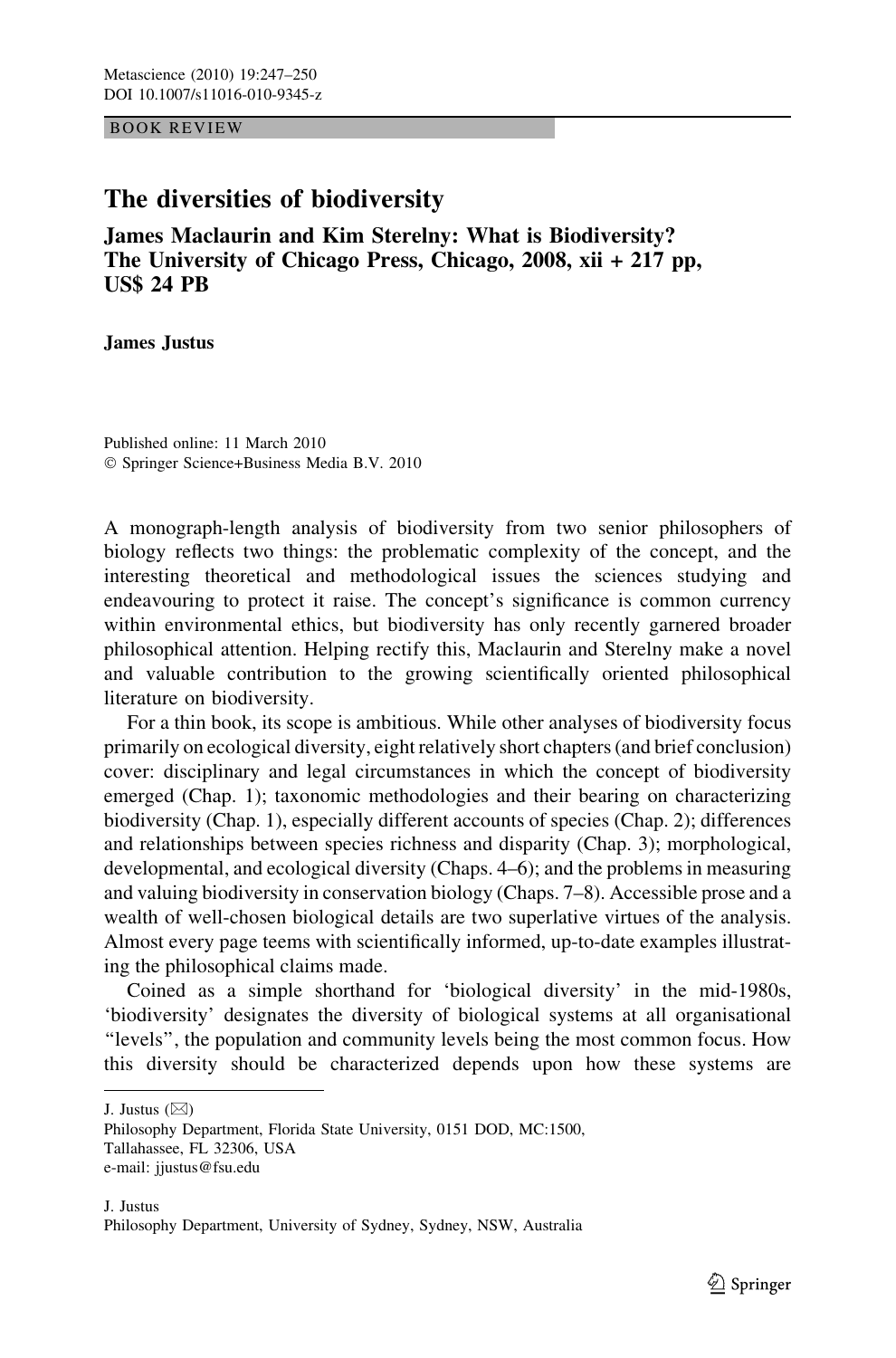BOOK REVIEW

## The diversities of biodiversity

James Maclaurin and Kim Sterelny: What is Biodiversity? The University of Chicago Press, Chicago, 2008, xii + 217 pp, US\$ 24 PB

James Justus

Published online: 11 March 2010 - Springer Science+Business Media B.V. 2010

A monograph-length analysis of biodiversity from two senior philosophers of biology reflects two things: the problematic complexity of the concept, and the interesting theoretical and methodological issues the sciences studying and endeavouring to protect it raise. The concept's significance is common currency within environmental ethics, but biodiversity has only recently garnered broader philosophical attention. Helping rectify this, Maclaurin and Sterelny make a novel and valuable contribution to the growing scientifically oriented philosophical literature on biodiversity.

For a thin book, its scope is ambitious. While other analyses of biodiversity focus primarily on ecological diversity, eight relatively short chapters (and brief conclusion) cover: disciplinary and legal circumstances in which the concept of biodiversity emerged (Chap. 1); taxonomic methodologies and their bearing on characterizing biodiversity (Chap. 1), especially different accounts of species (Chap. 2); differences and relationships between species richness and disparity (Chap. 3); morphological, developmental, and ecological diversity (Chaps. 4–6); and the problems in measuring and valuing biodiversity in conservation biology (Chaps. 7–8). Accessible prose and a wealth of well-chosen biological details are two superlative virtues of the analysis. Almost every page teems with scientifically informed, up-to-date examples illustrating the philosophical claims made.

Coined as a simple shorthand for 'biological diversity' in the mid-1980s, 'biodiversity' designates the diversity of biological systems at all organisational ''levels'', the population and community levels being the most common focus. How this diversity should be characterized depends upon how these systems are

J. Justus  $(\boxtimes)$ 

Philosophy Department, Florida State University, 0151 DOD, MC:1500, Tallahassee, FL 32306, USA e-mail: jjustus@fsu.edu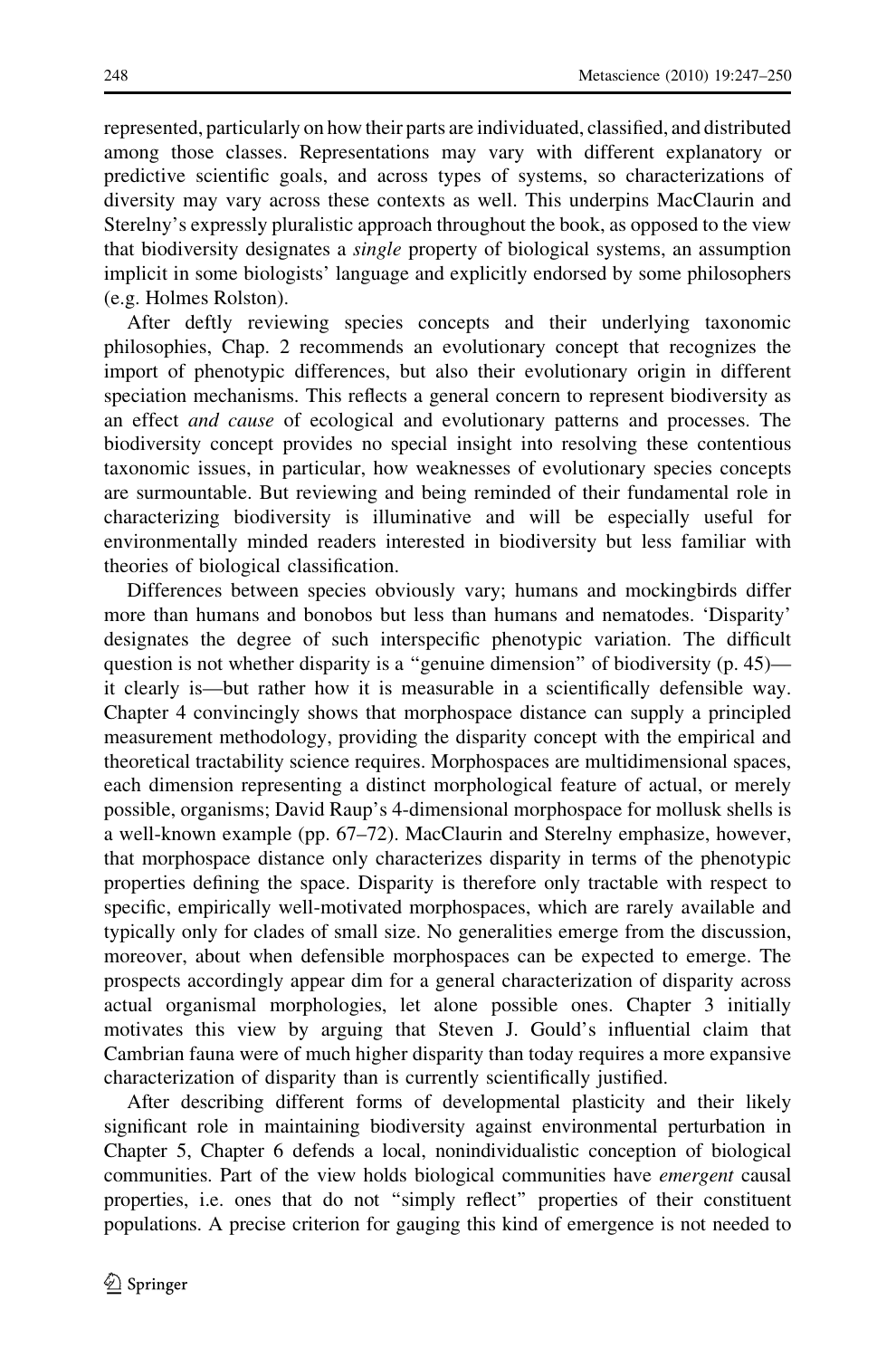represented, particularly on how their parts are individuated, classified, and distributed among those classes. Representations may vary with different explanatory or predictive scientific goals, and across types of systems, so characterizations of diversity may vary across these contexts as well. This underpins MacClaurin and Sterelny's expressly pluralistic approach throughout the book, as opposed to the view that biodiversity designates a *single* property of biological systems, an assumption implicit in some biologists' language and explicitly endorsed by some philosophers (e.g. Holmes Rolston).

After deftly reviewing species concepts and their underlying taxonomic philosophies, Chap. 2 recommends an evolutionary concept that recognizes the import of phenotypic differences, but also their evolutionary origin in different speciation mechanisms. This reflects a general concern to represent biodiversity as an effect and cause of ecological and evolutionary patterns and processes. The biodiversity concept provides no special insight into resolving these contentious taxonomic issues, in particular, how weaknesses of evolutionary species concepts are surmountable. But reviewing and being reminded of their fundamental role in characterizing biodiversity is illuminative and will be especially useful for environmentally minded readers interested in biodiversity but less familiar with theories of biological classification.

Differences between species obviously vary; humans and mockingbirds differ more than humans and bonobos but less than humans and nematodes. 'Disparity' designates the degree of such interspecific phenotypic variation. The difficult question is not whether disparity is a "genuine dimension" of biodiversity (p. 45) it clearly is—but rather how it is measurable in a scientifically defensible way. Chapter 4 convincingly shows that morphospace distance can supply a principled measurement methodology, providing the disparity concept with the empirical and theoretical tractability science requires. Morphospaces are multidimensional spaces, each dimension representing a distinct morphological feature of actual, or merely possible, organisms; David Raup's 4-dimensional morphospace for mollusk shells is a well-known example (pp. 67–72). MacClaurin and Sterelny emphasize, however, that morphospace distance only characterizes disparity in terms of the phenotypic properties defining the space. Disparity is therefore only tractable with respect to specific, empirically well-motivated morphospaces, which are rarely available and typically only for clades of small size. No generalities emerge from the discussion, moreover, about when defensible morphospaces can be expected to emerge. The prospects accordingly appear dim for a general characterization of disparity across actual organismal morphologies, let alone possible ones. Chapter 3 initially motivates this view by arguing that Steven J. Gould's influential claim that Cambrian fauna were of much higher disparity than today requires a more expansive characterization of disparity than is currently scientifically justified.

After describing different forms of developmental plasticity and their likely significant role in maintaining biodiversity against environmental perturbation in Chapter 5, Chapter 6 defends a local, nonindividualistic conception of biological communities. Part of the view holds biological communities have *emergent* causal properties, i.e. ones that do not ''simply reflect'' properties of their constituent populations. A precise criterion for gauging this kind of emergence is not needed to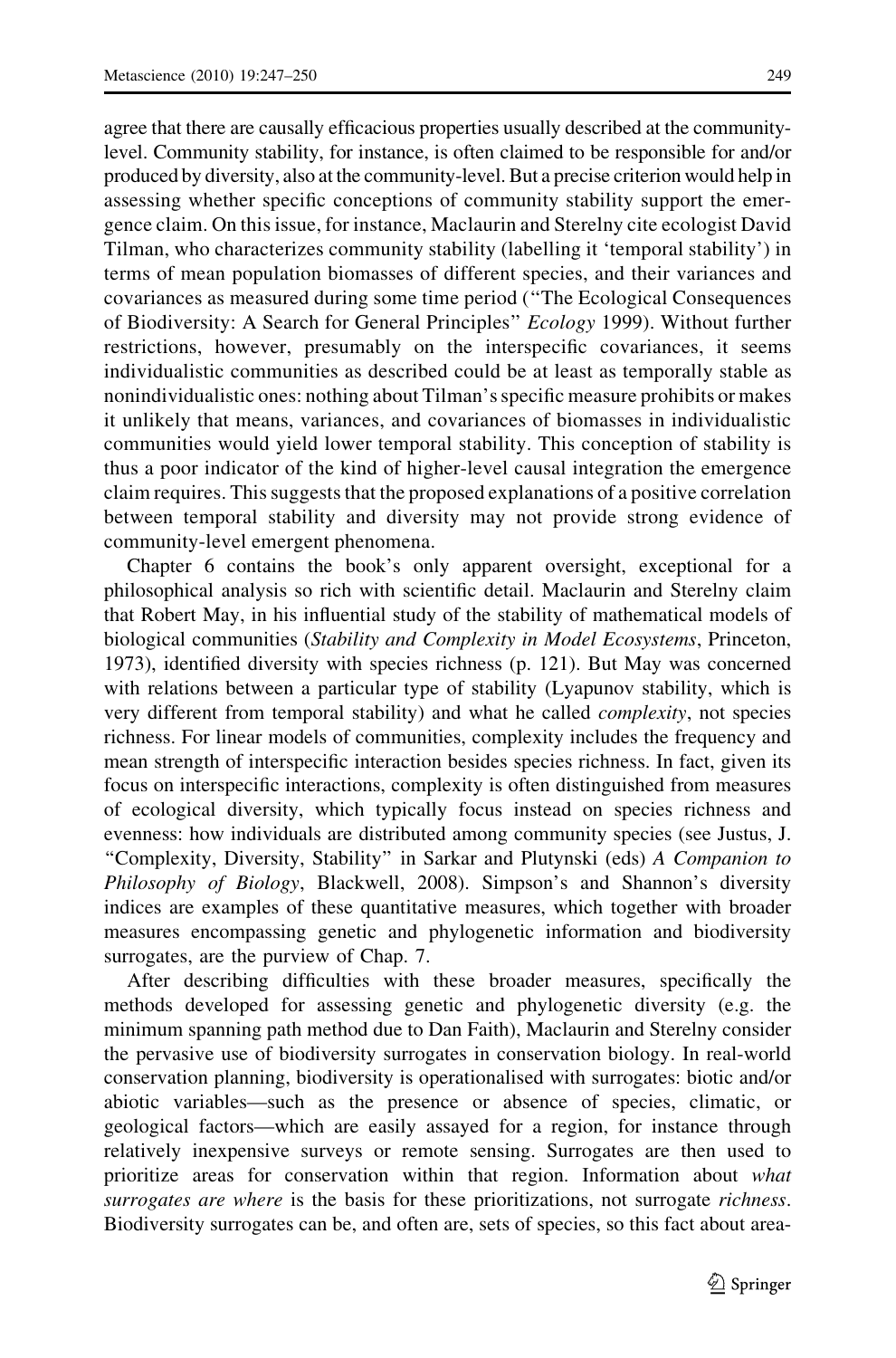agree that there are causally efficacious properties usually described at the communitylevel. Community stability, for instance, is often claimed to be responsible for and/or produced by diversity, also at the community-level. But a precise criterion would help in assessing whether specific conceptions of community stability support the emergence claim. On this issue, for instance, Maclaurin and Sterelny cite ecologist David Tilman, who characterizes community stability (labelling it 'temporal stability') in terms of mean population biomasses of different species, and their variances and covariances as measured during some time period (''The Ecological Consequences of Biodiversity: A Search for General Principles'' Ecology 1999). Without further restrictions, however, presumably on the interspecific covariances, it seems individualistic communities as described could be at least as temporally stable as nonindividualistic ones: nothing about Tilman's specific measure prohibits or makes it unlikely that means, variances, and covariances of biomasses in individualistic communities would yield lower temporal stability. This conception of stability is thus a poor indicator of the kind of higher-level causal integration the emergence claim requires. This suggests that the proposed explanations of a positive correlation between temporal stability and diversity may not provide strong evidence of community-level emergent phenomena.

Chapter 6 contains the book's only apparent oversight, exceptional for a philosophical analysis so rich with scientific detail. Maclaurin and Sterelny claim that Robert May, in his influential study of the stability of mathematical models of biological communities (Stability and Complexity in Model Ecosystems, Princeton, 1973), identified diversity with species richness (p. 121). But May was concerned with relations between a particular type of stability (Lyapunov stability, which is very different from temporal stability) and what he called complexity, not species richness. For linear models of communities, complexity includes the frequency and mean strength of interspecific interaction besides species richness. In fact, given its focus on interspecific interactions, complexity is often distinguished from measures of ecological diversity, which typically focus instead on species richness and evenness: how individuals are distributed among community species (see Justus, J. ''Complexity, Diversity, Stability'' in Sarkar and Plutynski (eds) A Companion to Philosophy of Biology, Blackwell, 2008). Simpson's and Shannon's diversity indices are examples of these quantitative measures, which together with broader measures encompassing genetic and phylogenetic information and biodiversity surrogates, are the purview of Chap. 7.

After describing difficulties with these broader measures, specifically the methods developed for assessing genetic and phylogenetic diversity (e.g. the minimum spanning path method due to Dan Faith), Maclaurin and Sterelny consider the pervasive use of biodiversity surrogates in conservation biology. In real-world conservation planning, biodiversity is operationalised with surrogates: biotic and/or abiotic variables—such as the presence or absence of species, climatic, or geological factors—which are easily assayed for a region, for instance through relatively inexpensive surveys or remote sensing. Surrogates are then used to prioritize areas for conservation within that region. Information about what surrogates are where is the basis for these prioritizations, not surrogate richness. Biodiversity surrogates can be, and often are, sets of species, so this fact about area-